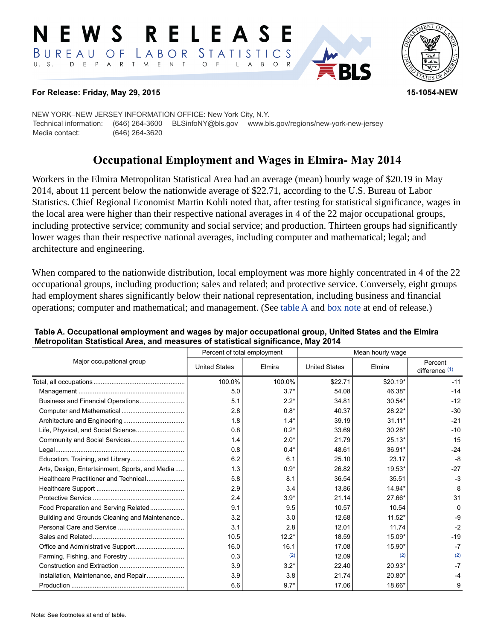#### RELEAS E W S LABOR STATISTICS BUREAU OF D E P A R T M E N T  $\circ$  $U. S.$  $\overline{F}$  $\mathsf{L}$  $\overline{A}$  $B$  $\circ$



## **For Release: Friday, May 29, 2015 15-1054-NEW**

NEW YORK–NEW JERSEY INFORMATION OFFICE: New York City, N.Y. Technical information: (646) 264-3600 BLSinfoNY@bls.gov www.bls.gov/regions/new-york-new-jersey Media contact: (646) 264-3620

# **Occupational Employment and Wages in Elmira- May 2014**

Workers in the Elmira Metropolitan Statistical Area had an average (mean) hourly wage of \$20.19 in May 2014, about 11 percent below the nationwide average of \$22.71, according to the U.S. Bureau of Labor Statistics. Chief Regional Economist Martin Kohli noted that, after testing for statistical significance, wages in the local area were higher than their respective national averages in 4 of the 22 major occupational groups, including protective service; community and social service; and production. Thirteen groups had significantly lower wages than their respective national averages, including computer and mathematical; legal; and architecture and engineering.

When compared to the nationwide distribution, local employment was more highly concentrated in 4 of the 22 occupational groups, including production; sales and related; and protective service. Conversely, eight groups had employment shares significantly below their national representation, including business and financial operations; computer and mathematical; and management. (See table A and [box note](#page-1-0) at end of release.)

|                                                |                      | Percent of total employment | Mean hourly wage     |           |                             |  |
|------------------------------------------------|----------------------|-----------------------------|----------------------|-----------|-----------------------------|--|
| Major occupational group                       | <b>United States</b> | Elmira                      | <b>United States</b> | Elmira    | Percent<br>difference $(1)$ |  |
|                                                | 100.0%               | 100.0%                      | \$22.71              | $$20.19*$ | $-11$                       |  |
|                                                | 5.0                  | $3.7*$                      | 54.08                | 46.38*    | $-14$                       |  |
|                                                | 5.1                  | $2.2*$                      | 34.81                | $30.54*$  | $-12$                       |  |
|                                                | 2.8                  | $0.8*$                      | 40.37                | 28.22*    | $-30$                       |  |
|                                                | 1.8                  | $1.4*$                      | 39.19                | $31.11*$  | $-21$                       |  |
|                                                | 0.8                  | $0.2*$                      | 33.69                | $30.28*$  | $-10$                       |  |
|                                                | 1.4                  | $2.0*$                      | 21.79                | $25.13*$  | 15                          |  |
|                                                | 0.8                  | $0.4*$                      | 48.61                | 36.91*    | $-24$                       |  |
|                                                | 6.2                  | 6.1                         | 25.10                | 23.17     | $-8$                        |  |
| Arts, Design, Entertainment, Sports, and Media | 1.3                  | $0.9*$                      | 26.82                | 19.53*    | $-27$                       |  |
| Healthcare Practitioner and Technical          | 5.8                  | 8.1                         | 36.54                | 35.51     | $-3$                        |  |
|                                                | 2.9                  | 3.4                         | 13.86                | 14.94*    | 8                           |  |
|                                                | 2.4                  | $3.9*$                      | 21.14                | 27.66*    | 31                          |  |
| Food Preparation and Serving Related           | 9.1                  | 9.5                         | 10.57                | 10.54     | $\Omega$                    |  |
| Building and Grounds Cleaning and Maintenance  | 3.2                  | 3.0                         | 12.68                | $11.52*$  | -9                          |  |
|                                                | 3.1                  | 2.8                         | 12.01                | 11.74     | $-2$                        |  |
|                                                | 10.5                 | $12.2*$                     | 18.59                | 15.09*    | $-19$                       |  |
|                                                | 16.0                 | 16.1                        | 17.08                | 15.90*    | $-7$                        |  |
|                                                | 0.3                  | (2)                         | 12.09                | (2)       | (2)                         |  |
|                                                | 3.9                  | $3.2*$                      | 22.40                | 20.93*    | $-7$                        |  |
| Installation, Maintenance, and Repair          | 3.9                  | 3.8                         | 21.74                | 20.80*    |                             |  |
|                                                | 6.6                  | $9.7*$                      | 17.06                | 18.66*    | 9                           |  |

### **Table A. Occupational employment and wages by major occupational group, United States and the Elmira Metropolitan Statistical Area, and measures of statistical significance, May 2014**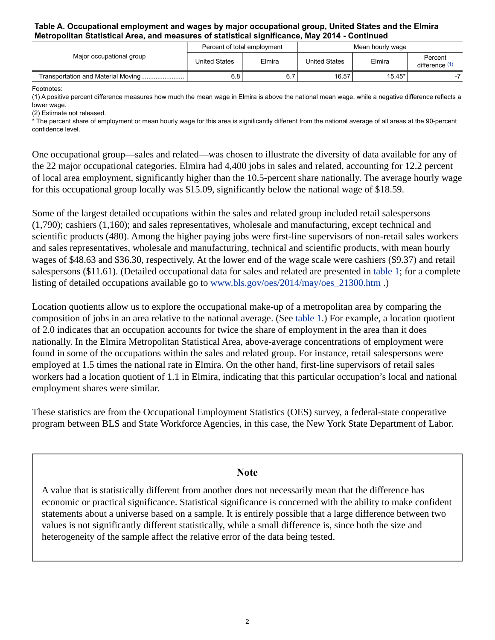## **Table A. Occupational employment and wages by major occupational group, United States and the Elmira Metropolitan Statistical Area, and measures of statistical significance, May 2014 - Continued**

| Major occupational group | Percent of total employment |        | Mean hourly wage     |          |                         |
|--------------------------|-----------------------------|--------|----------------------|----------|-------------------------|
|                          | <b>United States</b>        | Elmira | <b>United States</b> | Elmira   | Percent<br>difference ' |
|                          | 6.8                         | 6. .   | 16.57                | $15.45*$ |                         |

Footnotes:

<span id="page-1-1"></span>(1) A positive percent difference measures how much the mean wage in Elmira is above the national mean wage, while a negative difference reflects a lower wage.

<span id="page-1-2"></span>(2) Estimate not released.

\* The percent share of employment or mean hourly wage for this area is significantly different from the national average of all areas at the 90-percent confidence level.

One occupational group—sales and related—was chosen to illustrate the diversity of data available for any of the 22 major occupational categories. Elmira had 4,400 jobs in sales and related, accounting for 12.2 percent of local area employment, significantly higher than the 10.5-percent share nationally. The average hourly wage for this occupational group locally was \$15.09, significantly below the national wage of \$18.59.

Some of the largest detailed occupations within the sales and related group included retail salespersons (1,790); cashiers (1,160); and sales representatives, wholesale and manufacturing, except technical and scientific products (480). Among the higher paying jobs were first-line supervisors of non-retail sales workers and sales representatives, wholesale and manufacturing, technical and scientific products, with mean hourly wages of \$48.63 and \$36.30, respectively. At the lower end of the wage scale were cashiers (\$9.37) and retail salespersons (\$11.61). (Detailed occupational data for sales and related are presented in table 1; for a complete listing of detailed occupations available go to [www.bls.gov/oes/2014/may/oes\\_21300.htm](https://www.bls.gov/oes/2014/may/oes_21300.htm) .)

Location quotients allow us to explore the occupational make-up of a metropolitan area by comparing the composition of jobs in an area relative to the national average. (See table 1.) For example, a location quotient of 2.0 indicates that an occupation accounts for twice the share of employment in the area than it does nationally. In the Elmira Metropolitan Statistical Area, above-average concentrations of employment were found in some of the occupations within the sales and related group. For instance, retail salespersons were employed at 1.5 times the national rate in Elmira. On the other hand, first-line supervisors of retail sales workers had a location quotient of 1.1 in Elmira, indicating that this particular occupation's local and national employment shares were similar.

These statistics are from the Occupational Employment Statistics (OES) survey, a federal-state cooperative program between BLS and State Workforce Agencies, in this case, the New York State Department of Labor.

## **Note**

<span id="page-1-0"></span>A value that is statistically different from another does not necessarily mean that the difference has economic or practical significance. Statistical significance is concerned with the ability to make confident statements about a universe based on a sample. It is entirely possible that a large difference between two values is not significantly different statistically, while a small difference is, since both the size and heterogeneity of the sample affect the relative error of the data being tested.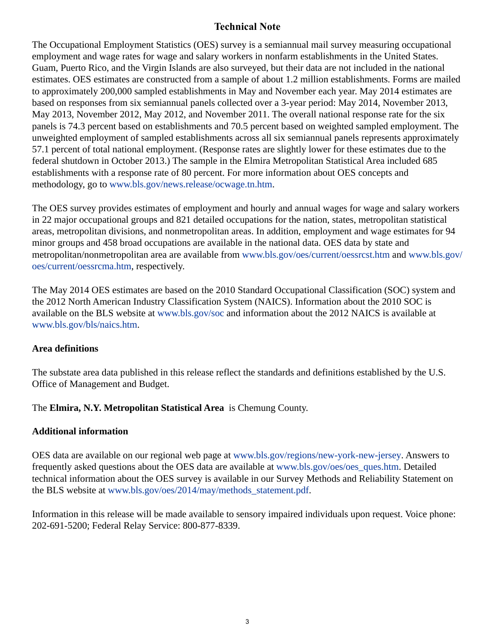# **Technical Note**

The Occupational Employment Statistics (OES) survey is a semiannual mail survey measuring occupational employment and wage rates for wage and salary workers in nonfarm establishments in the United States. Guam, Puerto Rico, and the Virgin Islands are also surveyed, but their data are not included in the national estimates. OES estimates are constructed from a sample of about 1.2 million establishments. Forms are mailed to approximately 200,000 sampled establishments in May and November each year. May 2014 estimates are based on responses from six semiannual panels collected over a 3-year period: May 2014, November 2013, May 2013, November 2012, May 2012, and November 2011. The overall national response rate for the six panels is 74.3 percent based on establishments and 70.5 percent based on weighted sampled employment. The unweighted employment of sampled establishments across all six semiannual panels represents approximately 57.1 percent of total national employment. (Response rates are slightly lower for these estimates due to the federal shutdown in October 2013.) The sample in the Elmira Metropolitan Statistical Area included 685 establishments with a response rate of 80 percent. For more information about OES concepts and methodology, go to [www.bls.gov/news.release/ocwage.tn.htm.](https://www.bls.gov/news.release/ocwage.tn.htm)

The OES survey provides estimates of employment and hourly and annual wages for wage and salary workers in 22 major occupational groups and 821 detailed occupations for the nation, states, metropolitan statistical areas, metropolitan divisions, and nonmetropolitan areas. In addition, employment and wage estimates for 94 minor groups and 458 broad occupations are available in the national data. OES data by state and metropolitan/nonmetropolitan area are available from [www.bls.gov/oes/current/oessrcst.htm](https://www.bls.gov/oes/current/oessrcst.htm) and [www.bls.gov/](https://www.bls.gov/oes/current/oessrcma.htm) [oes/current/oessrcma.htm,](https://www.bls.gov/oes/current/oessrcma.htm) respectively.

The May 2014 OES estimates are based on the 2010 Standard Occupational Classification (SOC) system and the 2012 North American Industry Classification System (NAICS). Information about the 2010 SOC is available on the BLS website at [www.bls.gov/soc](https://www.bls.gov/soc) and information about the 2012 NAICS is available at [www.bls.gov/bls/naics.htm.](https://www.bls.gov/bls/naics.htm)

# **Area definitions**

The substate area data published in this release reflect the standards and definitions established by the U.S. Office of Management and Budget.

The **Elmira, N.Y. Metropolitan Statistical Area** is Chemung County.

# **Additional information**

OES data are available on our regional web page at [www.bls.gov/regions/new-york-new-jersey](https://www.bls.gov/regions/new-york-new-jersey). Answers to frequently asked questions about the OES data are available at [www.bls.gov/oes/oes\\_ques.htm](https://www.bls.gov/oes/oes_ques.htm). Detailed technical information about the OES survey is available in our Survey Methods and Reliability Statement on the BLS website at [www.bls.gov/oes/2014/may/methods\\_statement.pdf](https://www.bls.gov/oes/2014/may/methods_statement.pdf).

Information in this release will be made available to sensory impaired individuals upon request. Voice phone: 202-691-5200; Federal Relay Service: 800-877-8339.